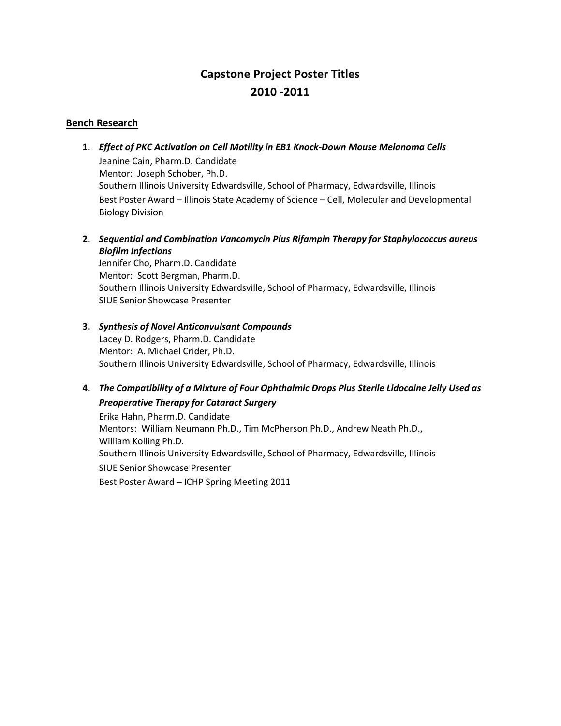# **Capstone Project Poster Titles 2010 -2011**

# **Bench Research**

- **1.** *Effect of PKC Activation on Cell Motility in EB1 Knock-Down Mouse Melanoma Cells* Jeanine Cain, Pharm.D. Candidate Mentor: Joseph Schober, Ph.D. Southern Illinois University Edwardsville, School of Pharmacy, Edwardsville, Illinois Best Poster Award – Illinois State Academy of Science – Cell, Molecular and Developmental Biology Division
- **2.** *Sequential and Combination Vancomycin Plus Rifampin Therapy for Staphylococcus aureus Biofilm Infections*

 Jennifer Cho, Pharm.D. Candidate Mentor: Scott Bergman, Pharm.D. Southern Illinois University Edwardsville, School of Pharmacy, Edwardsville, Illinois SIUE Senior Showcase Presenter

- **3.** *Synthesis of Novel Anticonvulsant Compounds* Lacey D. Rodgers, Pharm.D. Candidate Mentor: A. Michael Crider, Ph.D. Southern Illinois University Edwardsville, School of Pharmacy, Edwardsville, Illinois
- **4.** *The Compatibility of a Mixture of Four Ophthalmic Drops Plus Sterile Lidocaine Jelly Used as Preoperative Therapy for Cataract Surgery*

Erika Hahn, Pharm.D. Candidate Mentors: William Neumann Ph.D., Tim McPherson Ph.D., Andrew Neath Ph.D., William Kolling Ph.D. Southern Illinois University Edwardsville, School of Pharmacy, Edwardsville, Illinois SIUE Senior Showcase Presenter Best Poster Award – ICHP Spring Meeting 2011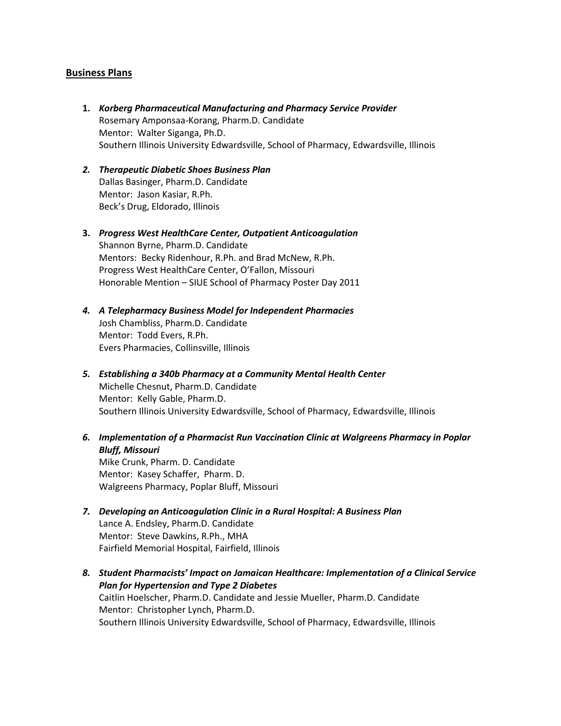#### **Business Plans**

- **1.** *Korberg Pharmaceutical Manufacturing and Pharmacy Service Provider* Rosemary Amponsaa-Korang, Pharm.D. Candidate Mentor: Walter Siganga, Ph.D. Southern Illinois University Edwardsville, School of Pharmacy, Edwardsville, Illinois
- *2. Therapeutic Diabetic Shoes Business Plan* Dallas Basinger, Pharm.D. Candidate Mentor: Jason Kasiar, R.Ph. Beck's Drug, Eldorado, Illinois
- **3.** *Progress West HealthCare Center, Outpatient Anticoagulation*  Shannon Byrne, Pharm.D. Candidate Mentors: Becky Ridenhour, R.Ph. and Brad McNew, R.Ph. Progress West HealthCare Center, O'Fallon, Missouri Honorable Mention – SIUE School of Pharmacy Poster Day 2011
- *4. A Telepharmacy Business Model for Independent Pharmacies* Josh Chambliss, Pharm.D. Candidate Mentor: Todd Evers, R.Ph. Evers Pharmacies, Collinsville, Illinois
- *5. Establishing a 340b Pharmacy at a Community Mental Health Center* Michelle Chesnut, Pharm.D. Candidate Mentor: Kelly Gable, Pharm.D. Southern Illinois University Edwardsville, School of Pharmacy, Edwardsville, Illinois
- *6. Implementation of a Pharmacist Run Vaccination Clinic at Walgreens Pharmacy in Poplar Bluff, Missouri* Mike Crunk, Pharm. D. Candidate Mentor: Kasey Schaffer, Pharm. D. Walgreens Pharmacy, Poplar Bluff, Missouri
- *7. Developing an Anticoagulation Clinic in a Rural Hospital: A Business Plan* Lance A. Endsley, Pharm.D. Candidate Mentor: Steve Dawkins, R.Ph., MHA Fairfield Memorial Hospital, Fairfield, Illinois
- *8. Student Pharmacists' Impact on Jamaican Healthcare: Implementation of a Clinical Service Plan for Hypertension and Type 2 Diabetes* Caitlin Hoelscher, Pharm.D. Candidate and Jessie Mueller, Pharm.D. Candidate Mentor: Christopher Lynch, Pharm.D. Southern Illinois University Edwardsville, School of Pharmacy, Edwardsville, Illinois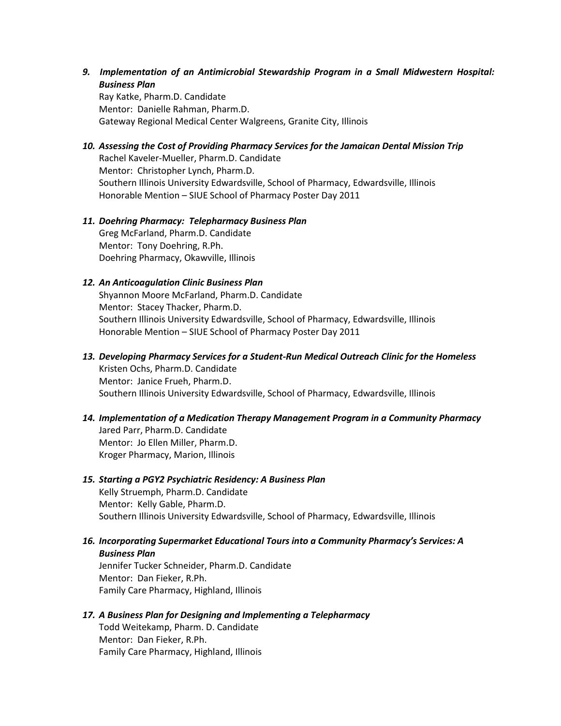*9. Implementation of an Antimicrobial Stewardship Program in a Small Midwestern Hospital: Business Plan*

Ray Katke, Pharm.D. Candidate Mentor: Danielle Rahman, Pharm.D. Gateway Regional Medical Center Walgreens, Granite City, Illinois

*10. Assessing the Cost of Providing Pharmacy Services for the Jamaican Dental Mission Trip* Rachel Kaveler-Mueller, Pharm.D. Candidate Mentor: Christopher Lynch, Pharm.D. Southern Illinois University Edwardsville, School of Pharmacy, Edwardsville, Illinois Honorable Mention – SIUE School of Pharmacy Poster Day 2011

#### *11. Doehring Pharmacy: Telepharmacy Business Plan*  Greg McFarland, Pharm.D. Candidate Mentor: Tony Doehring, R.Ph. Doehring Pharmacy, Okawville, Illinois

#### *12. An Anticoagulation Clinic Business Plan*

Shyannon Moore McFarland, Pharm.D. Candidate Mentor: Stacey Thacker, Pharm.D. Southern Illinois University Edwardsville, School of Pharmacy, Edwardsville, Illinois Honorable Mention – SIUE School of Pharmacy Poster Day 2011

- *13. Developing Pharmacy Services for a Student-Run Medical Outreach Clinic for the Homeless* Kristen Ochs, Pharm.D. Candidate Mentor: Janice Frueh, Pharm.D. Southern Illinois University Edwardsville, School of Pharmacy, Edwardsville, Illinois
- *14. Implementation of a Medication Therapy Management Program in a Community Pharmacy* Jared Parr, Pharm.D. Candidate Mentor: Jo Ellen Miller, Pharm.D. Kroger Pharmacy, Marion, Illinois

# *15. Starting a PGY2 Psychiatric Residency: A Business Plan*

Kelly Struemph, Pharm.D. Candidate Mentor: Kelly Gable, Pharm.D. Southern Illinois University Edwardsville, School of Pharmacy, Edwardsville, Illinois

*16. Incorporating Supermarket Educational Tours into a Community Pharmacy's Services: A Business Plan*

Jennifer Tucker Schneider, Pharm.D. Candidate Mentor: Dan Fieker, R.Ph. Family Care Pharmacy, Highland, Illinois

#### *17. A Business Plan for Designing and Implementing a Telepharmacy*

Todd Weitekamp, Pharm. D. Candidate Mentor: Dan Fieker, R.Ph. Family Care Pharmacy, Highland, Illinois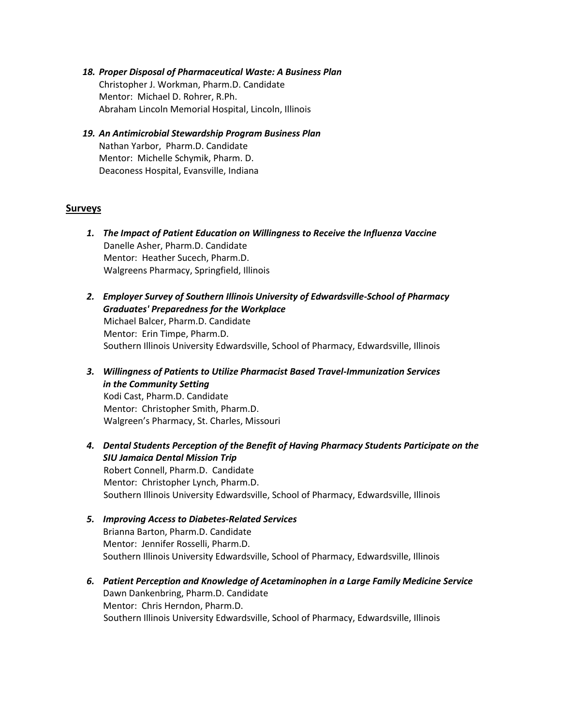- *18. Proper Disposal of Pharmaceutical Waste: A Business Plan* Christopher J. Workman, Pharm.D. Candidate Mentor: Michael D. Rohrer, R.Ph. Abraham Lincoln Memorial Hospital, Lincoln, Illinois
- *19. An Antimicrobial Stewardship Program Business Plan* Nathan Yarbor, Pharm.D. Candidate Mentor: Michelle Schymik, Pharm. D. Deaconess Hospital, Evansville, Indiana

#### **Surveys**

- *1. The Impact of Patient Education on Willingness to Receive the Influenza Vaccine*  Danelle Asher, Pharm.D. Candidate Mentor: Heather Sucech, Pharm.D. Walgreens Pharmacy, Springfield, Illinois
- *2. Employer Survey of Southern Illinois University of Edwardsville-School of Pharmacy Graduates' Preparedness for the Workplace* Michael Balcer, Pharm.D. Candidate Mentor: Erin Timpe, Pharm.D. Southern Illinois University Edwardsville, School of Pharmacy, Edwardsville, Illinois
- *3. Willingness of Patients to Utilize Pharmacist Based Travel-Immunization Services in the Community Setting* Kodi Cast, Pharm.D. Candidate Mentor: Christopher Smith, Pharm.D. Walgreen's Pharmacy, St. Charles, Missouri
- *4. Dental Students Perception of the Benefit of Having Pharmacy Students Participate on the SIU Jamaica Dental Mission Trip* Robert Connell, Pharm.D. Candidate Mentor: Christopher Lynch, Pharm.D. Southern Illinois University Edwardsville, School of Pharmacy, Edwardsville, Illinois
- *5. Improving Access to Diabetes-Related Services* Brianna Barton, Pharm.D. Candidate Mentor: Jennifer Rosselli, Pharm.D. Southern Illinois University Edwardsville, School of Pharmacy, Edwardsville, Illinois
- *6. Patient Perception and Knowledge of Acetaminophen in a Large Family Medicine Service* Dawn Dankenbring, Pharm.D. Candidate Mentor: Chris Herndon, Pharm.D. Southern Illinois University Edwardsville, School of Pharmacy, Edwardsville, Illinois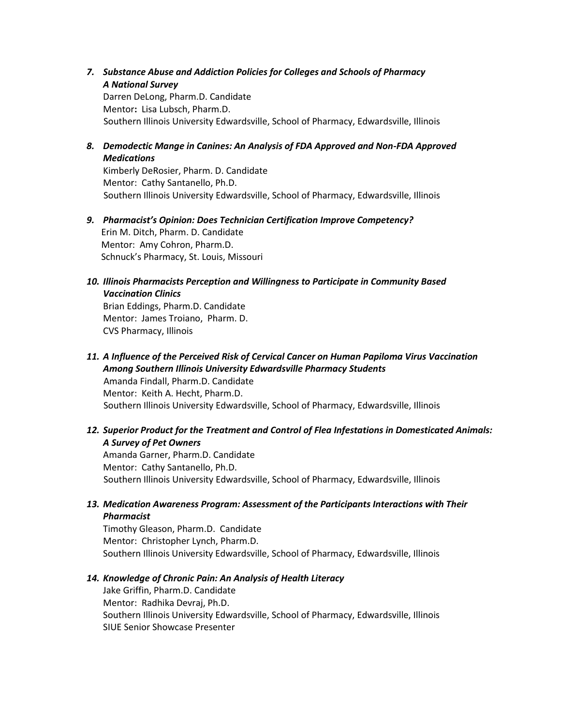*7. Substance Abuse and Addiction Policies for Colleges and Schools of Pharmacy A National Survey*

Darren DeLong, Pharm.D. Candidate Mentor**:** Lisa Lubsch, Pharm.D. Southern Illinois University Edwardsville, School of Pharmacy, Edwardsville, Illinois

*8. Demodectic Mange in Canines: An Analysis of FDA Approved and Non-FDA Approved Medications*

Kimberly DeRosier, Pharm. D. Candidate Mentor: Cathy Santanello, Ph.D. Southern Illinois University Edwardsville, School of Pharmacy, Edwardsville, Illinois

- *9. Pharmacist's Opinion: Does Technician Certification Improve Competency?*  Erin M. Ditch, Pharm. D. Candidate Mentor: Amy Cohron, Pharm.D. Schnuck's Pharmacy, St. Louis, Missouri
- *10. Illinois Pharmacists Perception and Willingness to Participate in Community Based Vaccination Clinics*

Brian Eddings, Pharm.D. Candidate Mentor: James Troiano, Pharm. D. CVS Pharmacy, Illinois

- *11. A Influence of the Perceived Risk of Cervical Cancer on Human Papiloma Virus Vaccination Among Southern Illinois University Edwardsville Pharmacy Students* Amanda Findall, Pharm.D. Candidate Mentor: Keith A. Hecht, Pharm.D. Southern Illinois University Edwardsville, School of Pharmacy, Edwardsville, Illinois
- *12. Superior Product for the Treatment and Control of Flea Infestations in Domesticated Animals: A Survey of Pet Owners*

Amanda Garner, Pharm.D. Candidate Mentor: Cathy Santanello, Ph.D. Southern Illinois University Edwardsville, School of Pharmacy, Edwardsville, Illinois

*13. Medication Awareness Program: Assessment of the Participants Interactions with Their Pharmacist*

Timothy Gleason, Pharm.D. Candidate Mentor: Christopher Lynch, Pharm.D. Southern Illinois University Edwardsville, School of Pharmacy, Edwardsville, Illinois

#### *14. Knowledge of Chronic Pain: An Analysis of Health Literacy*

Jake Griffin, Pharm.D. Candidate Mentor: Radhika Devraj, Ph.D. Southern Illinois University Edwardsville, School of Pharmacy, Edwardsville, Illinois SIUE Senior Showcase Presenter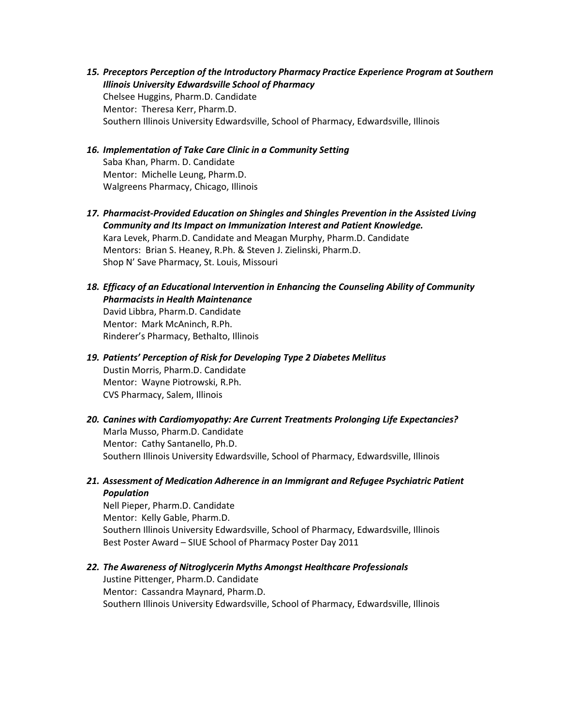- *15. Preceptors Perception of the Introductory Pharmacy Practice Experience Program at Southern Illinois University Edwardsville School of Pharmacy* Chelsee Huggins, Pharm.D. Candidate Mentor: Theresa Kerr, Pharm.D. Southern Illinois University Edwardsville, School of Pharmacy, Edwardsville, Illinois
- *16. Implementation of Take Care Clinic in a Community Setting* Saba Khan, Pharm. D. Candidate Mentor: Michelle Leung, Pharm.D. Walgreens Pharmacy, Chicago, Illinois
- *17. Pharmacist-Provided Education on Shingles and Shingles Prevention in the Assisted Living Community and Its Impact on Immunization Interest and Patient Knowledge.* Kara Levek, Pharm.D. Candidate and Meagan Murphy, Pharm.D. Candidate Mentors: Brian S. Heaney, R.Ph. & Steven J. Zielinski, Pharm.D. Shop N' Save Pharmacy, St. Louis, Missouri
- *18. Efficacy of an Educational Intervention in Enhancing the Counseling Ability of Community Pharmacists in Health Maintenance* David Libbra, Pharm.D. Candidate Mentor: Mark McAninch, R.Ph. Rinderer's Pharmacy, Bethalto, Illinois
- *19. Patients' Perception of Risk for Developing Type 2 Diabetes Mellitus* Dustin Morris, Pharm.D. Candidate Mentor: Wayne Piotrowski, R.Ph. CVS Pharmacy, Salem, Illinois
- *20. Canines with Cardiomyopathy: Are Current Treatments Prolonging Life Expectancies?* Marla Musso, Pharm.D. Candidate Mentor: Cathy Santanello, Ph.D. Southern Illinois University Edwardsville, School of Pharmacy, Edwardsville, Illinois
- *21. Assessment of Medication Adherence in an Immigrant and Refugee Psychiatric Patient Population*

Nell Pieper, Pharm.D. Candidate Mentor: Kelly Gable, Pharm.D. Southern Illinois University Edwardsville, School of Pharmacy, Edwardsville, Illinois Best Poster Award – SIUE School of Pharmacy Poster Day 2011

*22. The Awareness of Nitroglycerin Myths Amongst Healthcare Professionals*

Justine Pittenger, Pharm.D. Candidate Mentor: Cassandra Maynard, Pharm.D. Southern Illinois University Edwardsville, School of Pharmacy, Edwardsville, Illinois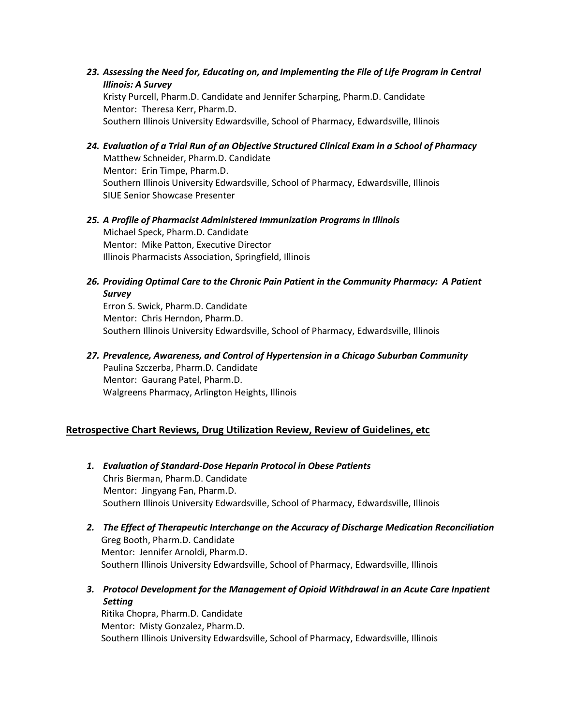*23. Assessing the Need for, Educating on, and Implementing the File of Life Program in Central Illinois: A Survey* Kristy Purcell, Pharm.D. Candidate and Jennifer Scharping, Pharm.D. Candidate

Mentor: Theresa Kerr, Pharm.D. Southern Illinois University Edwardsville, School of Pharmacy, Edwardsville, Illinois

- *24. Evaluation of a Trial Run of an Objective Structured Clinical Exam in a School of Pharmacy* Matthew Schneider, Pharm.D. Candidate Mentor: Erin Timpe, Pharm.D. Southern Illinois University Edwardsville, School of Pharmacy, Edwardsville, Illinois SIUE Senior Showcase Presenter
- *25. A Profile of Pharmacist Administered Immunization Programs in Illinois*  Michael Speck, Pharm.D. Candidate Mentor: Mike Patton, Executive Director Illinois Pharmacists Association, Springfield, Illinois
- *26. Providing Optimal Care to the Chronic Pain Patient in the Community Pharmacy: A Patient Survey*

Erron S. Swick, Pharm.D. Candidate Mentor: Chris Herndon, Pharm.D. Southern Illinois University Edwardsville, School of Pharmacy, Edwardsville, Illinois

*27. Prevalence, Awareness, and Control of Hypertension in a Chicago Suburban Community* Paulina Szczerba, Pharm.D. Candidate Mentor: Gaurang Patel, Pharm.D. Walgreens Pharmacy, Arlington Heights, Illinois

# **Retrospective Chart Reviews, Drug Utilization Review, Review of Guidelines, etc**

- *1. Evaluation of Standard-Dose Heparin Protocol in Obese Patients* Chris Bierman, Pharm.D. Candidate Mentor: Jingyang Fan, Pharm.D. Southern Illinois University Edwardsville, School of Pharmacy, Edwardsville, Illinois
- *2. The Effect of Therapeutic Interchange on the Accuracy of Discharge Medication Reconciliation* Greg Booth, Pharm.D. Candidate Mentor: Jennifer Arnoldi, Pharm.D. Southern Illinois University Edwardsville, School of Pharmacy, Edwardsville, Illinois
- *3. Protocol Development for the Management of Opioid Withdrawal in an Acute Care Inpatient Setting*  Ritika Chopra, Pharm.D. Candidate

Mentor: Misty Gonzalez, Pharm.D. Southern Illinois University Edwardsville, School of Pharmacy, Edwardsville, Illinois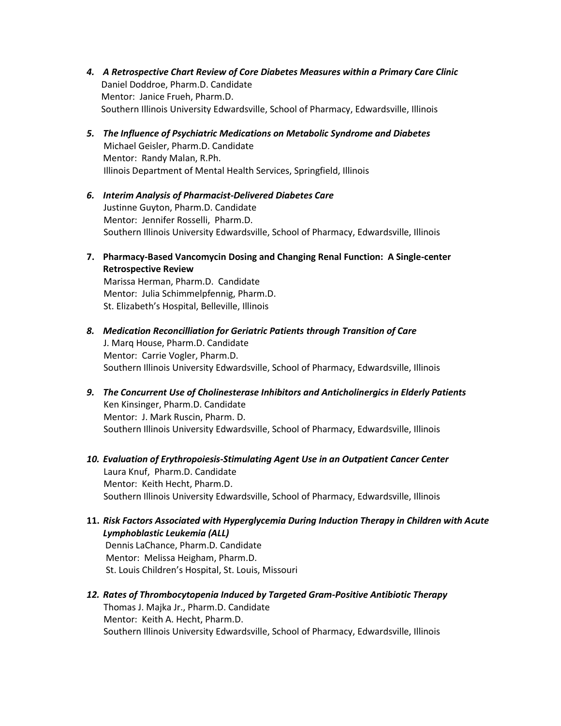- *4. A Retrospective Chart Review of Core Diabetes Measures within a Primary Care Clinic* Daniel Doddroe, Pharm.D. Candidate Mentor: Janice Frueh, Pharm.D. Southern Illinois University Edwardsville, School of Pharmacy, Edwardsville, Illinois
- *5. The Influence of Psychiatric Medications on Metabolic Syndrome and Diabetes* Michael Geisler, Pharm.D. Candidate Mentor: Randy Malan, R.Ph. Illinois Department of Mental Health Services, Springfield, Illinois
- *6. Interim Analysis of Pharmacist-Delivered Diabetes Care* Justinne Guyton, Pharm.D. Candidate Mentor: Jennifer Rosselli, Pharm.D. Southern Illinois University Edwardsville, School of Pharmacy, Edwardsville, Illinois
- **7. Pharmacy-Based Vancomycin Dosing and Changing Renal Function: A Single-center Retrospective Review**

 Marissa Herman, Pharm.D. Candidate Mentor: Julia Schimmelpfennig, Pharm.D. St. Elizabeth's Hospital, Belleville, Illinois

- *8. Medication Reconcilliation for Geriatric Patients through Transition of Care* J. Marq House, Pharm.D. Candidate Mentor: Carrie Vogler, Pharm.D. Southern Illinois University Edwardsville, School of Pharmacy, Edwardsville, Illinois
- *9. The Concurrent Use of Cholinesterase Inhibitors and Anticholinergics in Elderly Patients* Ken Kinsinger, Pharm.D. Candidate Mentor: J. Mark Ruscin, Pharm. D. Southern Illinois University Edwardsville, School of Pharmacy, Edwardsville, Illinois
- *10. Evaluation of Erythropoiesis-Stimulating Agent Use in an Outpatient Cancer Center* Laura Knuf, Pharm.D. Candidate Mentor: Keith Hecht, Pharm.D. Southern Illinois University Edwardsville, School of Pharmacy, Edwardsville, Illinois
- **11.** *Risk Factors Associated with Hyperglycemia During Induction Therapy in Children with Acute Lymphoblastic Leukemia (ALL)*

Dennis LaChance, Pharm.D. Candidate Mentor: Melissa Heigham, Pharm.D. St. Louis Children's Hospital, St. Louis, Missouri

*12. Rates of Thrombocytopenia Induced by Targeted Gram-Positive Antibiotic Therapy* Thomas J. Majka Jr., Pharm.D. Candidate Mentor: Keith A. Hecht, Pharm.D. Southern Illinois University Edwardsville, School of Pharmacy, Edwardsville, Illinois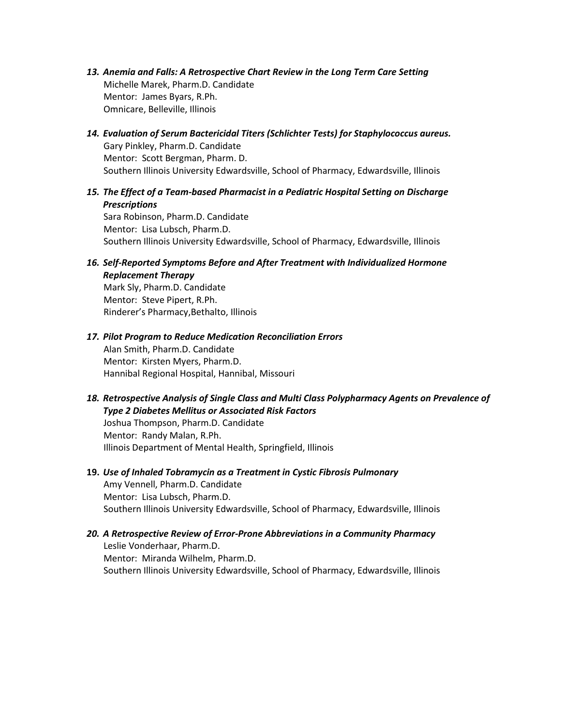- *13. Anemia and Falls: A Retrospective Chart Review in the Long Term Care Setting* Michelle Marek, Pharm.D. Candidate Mentor: James Byars, R.Ph. Omnicare, Belleville, Illinois
- *14. Evaluation of Serum Bactericidal Titers (Schlichter Tests) for Staphylococcus aureus.* Gary Pinkley, Pharm.D. Candidate Mentor: Scott Bergman, Pharm. D. Southern Illinois University Edwardsville, School of Pharmacy, Edwardsville, Illinois
- *15. The Effect of a Team-based Pharmacist in a Pediatric Hospital Setting on Discharge Prescriptions*

 Sara Robinson, Pharm.D. Candidate Mentor: Lisa Lubsch, Pharm.D. Southern Illinois University Edwardsville, School of Pharmacy, Edwardsville, Illinois

*16. Self-Reported Symptoms Before and After Treatment with Individualized Hormone Replacement Therapy*

 Mark Sly, Pharm.D. Candidate Mentor: Steve Pipert, R.Ph. Rinderer's Pharmacy,Bethalto, Illinois

# *17. Pilot Program to Reduce Medication Reconciliation Errors*

 Alan Smith, Pharm.D. Candidate Mentor: Kirsten Myers, Pharm.D. Hannibal Regional Hospital, Hannibal, Missouri

*18. Retrospective Analysis of Single Class and Multi Class Polypharmacy Agents on Prevalence of Type 2 Diabetes Mellitus or Associated Risk Factors*

 Joshua Thompson, Pharm.D. Candidate Mentor: Randy Malan, R.Ph. Illinois Department of Mental Health, Springfield, Illinois

# **19.** *Use of Inhaled Tobramycin as a Treatment in Cystic Fibrosis Pulmonary*  Amy Vennell, Pharm.D. Candidate Mentor: Lisa Lubsch, Pharm.D. Southern Illinois University Edwardsville, School of Pharmacy, Edwardsville, Illinois

## *20. A Retrospective Review of Error-Prone Abbreviations in a Community Pharmacy* Leslie Vonderhaar, Pharm.D. Mentor: Miranda Wilhelm, Pharm.D. Southern Illinois University Edwardsville, School of Pharmacy, Edwardsville, Illinois